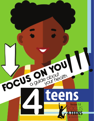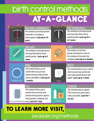## Most effective! (NON-HORMONAL) Most effective! birth control methods **AT-A-GLANCE**



This method can be kept private and works as emergency contraception. **Lasts up to 10 years.**



#### IUD (HORMONAL)

This method can be kept private and may help relieve heavy, painful periods. **Lasts up to 3 or 5 years.**



#### IMPLANT

This method can be kept private and may help relieve heavy, painful period. **Lasts up to 3 years.**



#### **SHOT**

This method can be kept private and improves some of the symptoms of periods, like cramping. **Lasts up to 3 months.**



**VAGINAL RING** 

#### RING

This method allows you to control when you get your period and may make periods shorter and lighter. **Lasts up to 1 month.**



#### **PATCH**

This method allows you to control when you get your period and may make periods shorter and lighter. **Lasts up to 1 week.**

#### PILL



This method allows you to control when you have your period and may protect against heavy periods, cramping, and



#### **CONDOM**

This method protects against STDs if used every time and is easily assessable. **Lasts for 1 sex act.**

ORAL CONTRACEPTION acne. Lasts for 1 day.

## **TO LEARN MORE VISIT,** bedsider.org/methods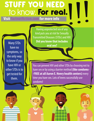## TO Know. For real. **STUFF YOU NEED TUFF YOU NEED.<br>TO know. For real. | | | | Visit factnotfiction.com for more info**

have no symptoms, so the only way to know if you have HIV or other STDs is to get tested for them.

Having unprotected sex of any kind puts you at risk for Sexually Transmitted Diseases (STDs) and HIV. **Did you know that includes**  Many STDs **CONSISTING Many STDs** 

> You can prevent HIV and other STDs by choosing not to have sex or by using a barrier method **(like condoms- -FREE at all Aaron E. Henry health centers)** every time you have sex. Lots of teens successfully use condoms!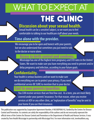# WHAT TO EXPECT AT **THE CLINIC**

### **Discussion about your sexual health.**

Sexual health can be a sensitive subject, so we want you to feel comfortable to talking to our healthcare staff about your needs.

#### **Time alone with the provider.**

We encourage you to be open and honest with your parents, but we also understand that sometimes you just need to talk to the doctor or nurse alone.

#### **Access to birth control and condoms.**

Mississippi has one of the highest teen pregnancy and STD rates in the United States. We want to make sure you have everything you need to prevent and/or delay pregnancy and infection, according to your future goals.

#### **Confidentiality.**

Your health is serious business and we want to make sure we do everything we can to protect your privacy. If you need confidential service BE SURE to mention that to your doctor.

**Cost to your parents/guardian.**

You CAN receive services that are free/low cost. As a teen, you are most likely covered under your parents' insurance. For that reason, when you receive services at AEH or any other clinic, an "explanation of benefits" may be sent to your home if you use their insurance.

This publication was supported by Cooperative Agreement Number, # NU58DP006142, funded by the Centers for Disease Control and Prevention. Its contents are solely the responsibility of the authors and do not necessarily represent the official views of the Centers for Disease Control and Prevention or the Department of Health and Human Services. It was created by Teen Health Mississippi in partnership with Mississippi First. For more information visit, teenhealthms.org.